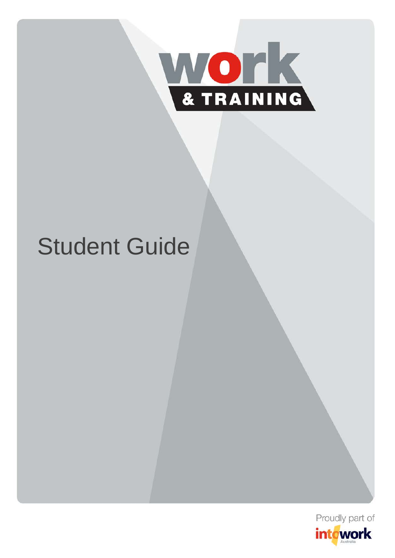

# Student Guide

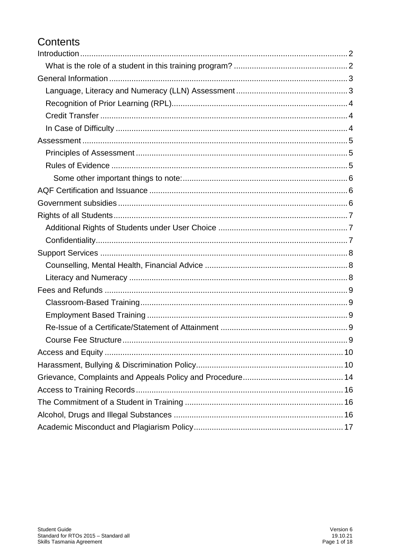# Contents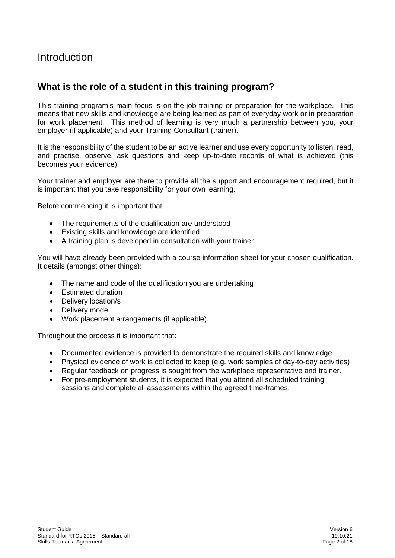# <span id="page-2-0"></span>Introduction

## <span id="page-2-1"></span>**What is the role of a student in this training program?**

This training program's main focus is on-the-job training or preparation for the workplace. This means that new skills and knowledge are being learned as part of everyday work or in preparation for work placement. This method of learning is very much a partnership between you, your employer (if applicable) and your Training Consultant (trainer).

It is the responsibility of the student to be an active learner and use every opportunity to listen, read, and practise, observe, ask questions and keep up-to-date records of what is achieved (this becomes your evidence).

Your trainer and employer are there to provide all the support and encouragement required, but it is important that you take responsibility for your own learning.

Before commencing it is important that:

- The requirements of the qualification are understood
- Existing skills and knowledge are identified
- A training plan is developed in consultation with your trainer.

You will have already been provided with a course information sheet for your chosen qualification. It details (amongst other things):

- The name and code of the qualification you are undertaking
- Estimated duration
- Delivery location/s
- Delivery mode
- Work placement arrangements (if applicable).

Throughout the process it is important that:

- Documented evidence is provided to demonstrate the required skills and knowledge
- Physical evidence of work is collected to keep (e.g. work samples of day-to-day activities)
- Regular feedback on progress is sought from the workplace representative and trainer.
- For pre-employment students, it is expected that you attend all scheduled training sessions and complete all assessments within the agreed time-frames.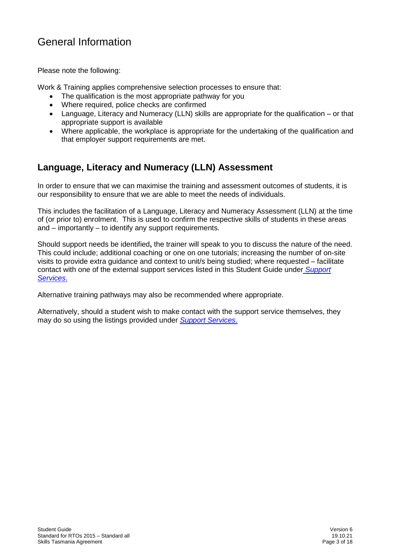# <span id="page-3-0"></span>General Information

Please note the following:

Work & Training applies comprehensive selection processes to ensure that:

- The qualification is the most appropriate pathway for you
- Where required, police checks are confirmed
- Language, Literacy and Numeracy (LLN) skills are appropriate for the qualification or that appropriate support is available
- Where applicable, the workplace is appropriate for the undertaking of the qualification and that employer support requirements are met.

# <span id="page-3-1"></span>**Language, Literacy and Numeracy (LLN) Assessment**

In order to ensure that we can maximise the training and assessment outcomes of students, it is our responsibility to ensure that we are able to meet the needs of individuals.

This includes the facilitation of a Language, Literacy and Numeracy Assessment (LLN) at the time of (or prior to) enrolment. This is used to confirm the respective skills of students in these areas and – importantly – to identify any support requirements.

Should support needs be identified**,** the trainer will speak to you to discuss the nature of the need. This could include; additional coaching or one on one tutorials; increasing the number of on-site visits to provide extra guidance and context to unit/s being studied; where requested – facilitate contact with one of the external support services listed in this Student Guide under *[Support](#page-8-0)  [Services](#page-8-0)*.

Alternative training pathways may also be recommended where appropriate.

Alternatively, should a student wish to make contact with the support service themselves, they may do so using the listings provided under *[Support Services](#page-8-0)*.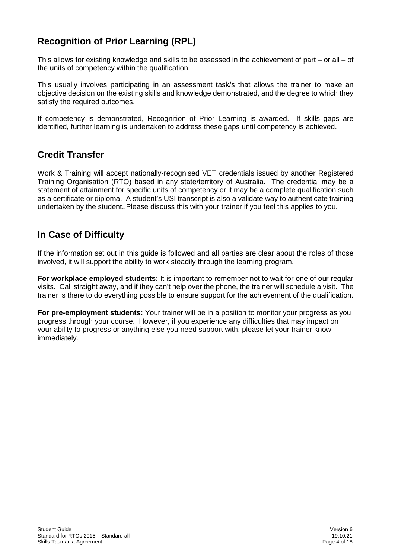# <span id="page-4-0"></span>**Recognition of Prior Learning (RPL)**

This allows for existing knowledge and skills to be assessed in the achievement of part – or all – of the units of competency within the qualification.

This usually involves participating in an assessment task/s that allows the trainer to make an objective decision on the existing skills and knowledge demonstrated, and the degree to which they satisfy the required outcomes.

If competency is demonstrated, Recognition of Prior Learning is awarded. If skills gaps are identified, further learning is undertaken to address these gaps until competency is achieved.

# <span id="page-4-1"></span>**Credit Transfer**

Work & Training will accept nationally-recognised VET credentials issued by another Registered Training Organisation (RTO) based in any state/territory of Australia. The credential may be a statement of attainment for specific units of competency or it may be a complete qualification such as a certificate or diploma. A student's USI transcript is also a validate way to authenticate training undertaken by the student..Please discuss this with your trainer if you feel this applies to you.

## <span id="page-4-2"></span>**In Case of Difficulty**

If the information set out in this guide is followed and all parties are clear about the roles of those involved, it will support the ability to work steadily through the learning program.

**For workplace employed students:** It is important to remember not to wait for one of our regular visits. Call straight away, and if they can't help over the phone, the trainer will schedule a visit. The trainer is there to do everything possible to ensure support for the achievement of the qualification.

**For pre-employment students:** Your trainer will be in a position to monitor your progress as you progress through your course. However, if you experience any difficulties that may impact on your ability to progress or anything else you need support with, please let your trainer know immediately.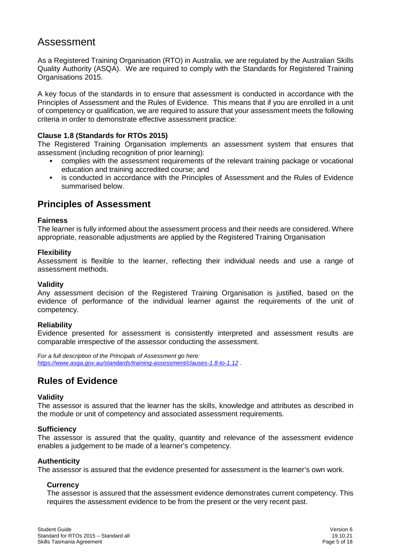# <span id="page-5-0"></span>Assessment

As a Registered Training Organisation (RTO) in Australia, we are regulated by the Australian Skills Quality Authority (ASQA). We are required to comply with the Standards for Registered Training Organisations 2015.

A key focus of the standards in to ensure that assessment is conducted in accordance with the Principles of Assessment and the Rules of Evidence. This means that if you are enrolled in a unit of competency or qualification, we are required to assure that your assessment meets the following criteria in order to demonstrate effective assessment practice:

#### **Clause 1.8 (Standards for RTOs 2015)**

The Registered Training Organisation implements an assessment system that ensures that assessment (including recognition of prior learning):

- complies with the assessment requirements of the relevant training package or vocational education and training accredited course; and
- is conducted in accordance with the Principles of Assessment and the Rules of Evidence summarised below.

## <span id="page-5-1"></span>**Principles of Assessment**

#### **Fairness**

The learner is fully informed about the assessment process and their needs are considered. Where appropriate, reasonable adjustments are applied by the Registered Training Organisation

#### **Flexibility**

Assessment is flexible to the learner, reflecting their individual needs and use a range of assessment methods.

#### **Validity**

Any assessment decision of the Registered Training Organisation is justified, based on the evidence of performance of the individual learner against the requirements of the unit of competency.

#### **Reliability**

Evidence presented for assessment is consistently interpreted and assessment results are comparable irrespective of the assessor conducting the assessment.

*For a full description of the Principals of Assessment go here: <https://www.asqa.gov.au/standards/training-assessment/clauses-1.8-to-1.12> .*

## <span id="page-5-2"></span>**Rules of Evidence**

#### **Validity**

The assessor is assured that the learner has the skills, knowledge and attributes as described in the module or unit of competency and associated assessment requirements.

#### **Sufficiency**

The assessor is assured that the quality, quantity and relevance of the assessment evidence enables a judgement to be made of a learner's competency.

#### **Authenticity**

The assessor is assured that the evidence presented for assessment is the learner's own work.

#### **Currency**

The assessor is assured that the assessment evidence demonstrates current competency. This requires the assessment evidence to be from the present or the very recent past.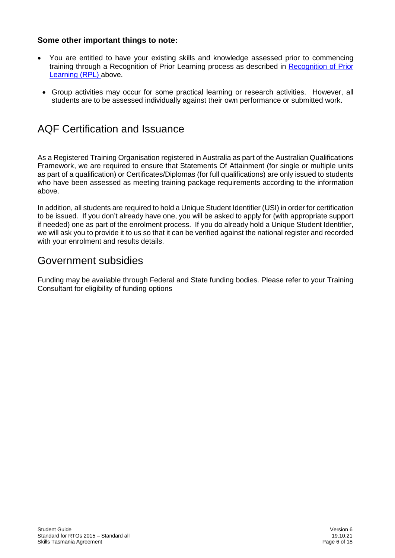## <span id="page-6-0"></span>**Some other important things to note:**

- You are entitled to have your existing skills and knowledge assessed prior to commencing training through a Recognition of Prior Learning process as described in [Recognition of Prior](#page-4-0)  [Learning \(RPL\) a](#page-4-0)bove.
- Group activities may occur for some practical learning or research activities. However, all students are to be assessed individually against their own performance or submitted work.

# <span id="page-6-1"></span>AQF Certification and Issuance

As a Registered Training Organisation registered in Australia as part of the Australian Qualifications Framework, we are required to ensure that Statements Of Attainment (for single or multiple units as part of a qualification) or Certificates/Diplomas (for full qualifications) are only issued to students who have been assessed as meeting training package requirements according to the information above.

In addition, all students are required to hold a Unique Student Identifier (USI) in order for certification to be issued. If you don't already have one, you will be asked to apply for (with appropriate support if needed) one as part of the enrolment process. If you do already hold a Unique Student Identifier, we will ask you to provide it to us so that it can be verified against the national register and recorded with your enrolment and results details.

# <span id="page-6-2"></span>Government subsidies

Funding may be available through Federal and State funding bodies. Please refer to your Training Consultant for eligibility of funding options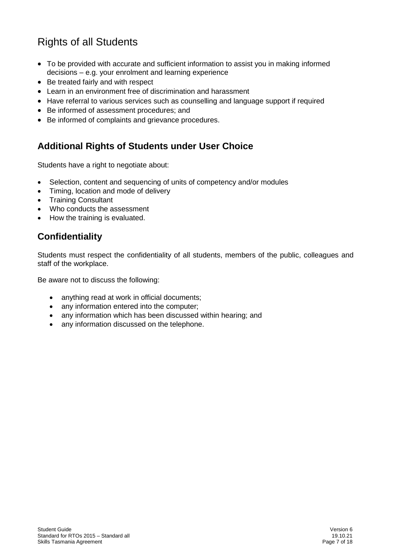# <span id="page-7-0"></span>Rights of all Students

- To be provided with accurate and sufficient information to assist you in making informed decisions – e.g. your enrolment and learning experience
- Be treated fairly and with respect
- Learn in an environment free of discrimination and harassment
- Have referral to various services such as counselling and language support if required
- Be informed of assessment procedures; and
- Be informed of complaints and grievance procedures.

# <span id="page-7-1"></span>**Additional Rights of Students under User Choice**

Students have a right to negotiate about:

- Selection, content and sequencing of units of competency and/or modules
- Timing, location and mode of delivery
- Training Consultant
- Who conducts the assessment
- How the training is evaluated.

# <span id="page-7-2"></span>**Confidentiality**

Students must respect the confidentiality of all students, members of the public, colleagues and staff of the workplace.

Be aware not to discuss the following:

- anything read at work in official documents;
- any information entered into the computer;
- any information which has been discussed within hearing; and
- any information discussed on the telephone.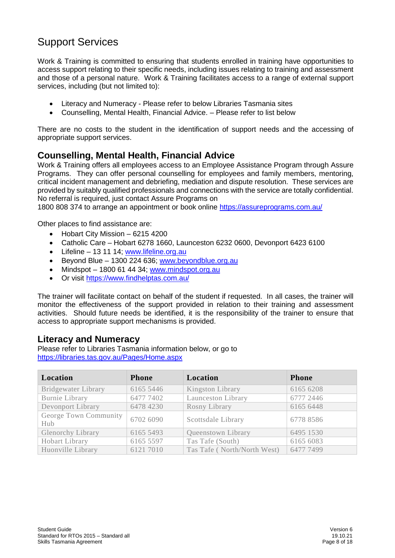# <span id="page-8-0"></span>Support Services

Work & Training is committed to ensuring that students enrolled in training have opportunities to access support relating to their specific needs, including issues relating to training and assessment and those of a personal nature. Work & Training facilitates access to a range of external support services, including (but not limited to):

- Literacy and Numeracy Please refer to below Libraries Tasmania sites
- Counselling, Mental Health, Financial Advice. Please refer to list below

There are no costs to the student in the identification of support needs and the accessing of appropriate support services.

## <span id="page-8-1"></span>**Counselling, Mental Health, Financial Advice**

Work & Training offers all employees access to an Employee Assistance Program through Assure Programs. They can offer personal counselling for employees and family members, mentoring, critical incident management and debriefing, mediation and dispute resolution. These services are provided by suitably qualified professionals and connections with the service are totally confidential. No referral is required, just contact Assure Programs on

1800 808 374 to arrange an appointment or [book online](https://intowork.us1.list-manage.com/track/click?u=652ae4c8b4d3a2532950ab349&id=21be028f5c&e=89fa9171f8) <https://assureprograms.com.au/>

Other places to find assistance are:

- Hobart City Mission 6215 4200
- Catholic Care Hobart 6278 1660, Launceston 6232 0600, Devonport 6423 6100
- Lifeline 13 11 14; [www.lifeline.org.au](http://www.lifeline.org.au/)
- Beyond Blue 1300 224 636; [www.beyondblue.org.au](http://www.beyondblue.org.au/)
- Mindspot 1800 61 44 34; [www.mindspot.org.au](http://www.mindspot.org.au/)
- Or visit<https://www.findhelptas.com.au/>

The trainer will facilitate contact on behalf of the student if requested. In all cases, the trainer will monitor the effectiveness of the support provided in relation to their training and assessment activities. Should future needs be identified, it is the responsibility of the trainer to ensure that access to appropriate support mechanisms is provided.

## <span id="page-8-2"></span>**Literacy and Numeracy**

Please refer to Libraries Tasmania information below, or go to <https://libraries.tas.gov.au/Pages/Home.aspx>

| Location                     | <b>Phone</b> | Location                    | <b>Phone</b> |
|------------------------------|--------------|-----------------------------|--------------|
| <b>Bridgewater Library</b>   | 6165 5446    | Kingston Library            | 6165 6208    |
| Burnie Library               | 6477 7402    | Launceston Library          | 6777 2446    |
| Devonport Library            | 6478 4230    | Rosny Library               | 6165 6448    |
| George Town Community<br>Hub | 6702 6090    | Scottsdale Library          | 6778 8586    |
| <b>Glenorchy Library</b>     | 6165 5493    | Queenstown Library          | 6495 1530    |
| Hobart Library               | 6165 5597    | Tas Tafe (South)            | 6165 6083    |
| Huonville Library            | 6121 7010    | Tas Tafe (North/North West) | 6477 7499    |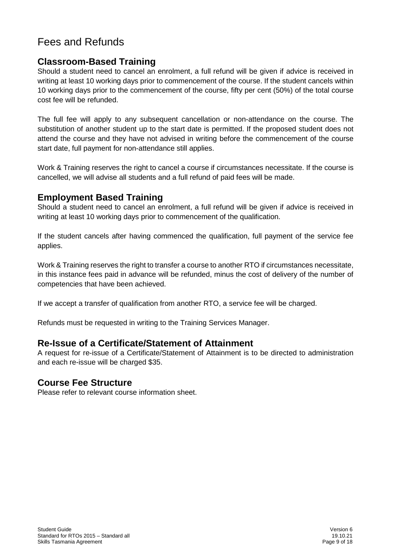# <span id="page-9-0"></span>Fees and Refunds

## <span id="page-9-1"></span>**Classroom-Based Training**

Should a student need to cancel an enrolment, a full refund will be given if advice is received in writing at least 10 working days prior to commencement of the course. If the student cancels within 10 working days prior to the commencement of the course, fifty per cent (50%) of the total course cost fee will be refunded.

The full fee will apply to any subsequent cancellation or non-attendance on the course. The substitution of another student up to the start date is permitted. If the proposed student does not attend the course and they have not advised in writing before the commencement of the course start date, full payment for non-attendance still applies.

Work & Training reserves the right to cancel a course if circumstances necessitate. If the course is cancelled, we will advise all students and a full refund of paid fees will be made.

## <span id="page-9-2"></span>**Employment Based Training**

Should a student need to cancel an enrolment, a full refund will be given if advice is received in writing at least 10 working days prior to commencement of the qualification.

If the student cancels after having commenced the qualification, full payment of the service fee applies.

Work & Training reserves the right to transfer a course to another RTO if circumstances necessitate, in this instance fees paid in advance will be refunded, minus the cost of delivery of the number of competencies that have been achieved.

If we accept a transfer of qualification from another RTO, a service fee will be charged.

Refunds must be requested in writing to the Training Services Manager.

## <span id="page-9-3"></span>**Re-Issue of a Certificate/Statement of Attainment**

A request for re-issue of a Certificate/Statement of Attainment is to be directed to administration and each re-issue will be charged \$35.

## <span id="page-9-4"></span>**Course Fee Structure**

Please refer to relevant course information sheet.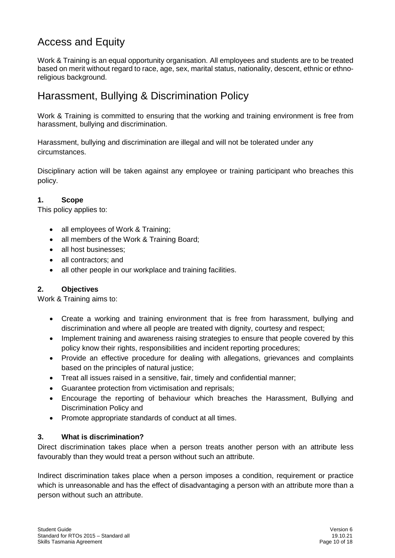# <span id="page-10-0"></span>Access and Equity

Work & Training is an equal opportunity organisation. All employees and students are to be treated based on merit without regard to race, age, sex, marital status, nationality, descent, ethnic or ethnoreligious background.

# <span id="page-10-1"></span>Harassment, Bullying & Discrimination Policy

Work & Training is committed to ensuring that the working and training environment is free from harassment, bullying and discrimination.

Harassment, bullying and discrimination are illegal and will not be tolerated under any circumstances.

Disciplinary action will be taken against any employee or training participant who breaches this policy.

## **1. Scope**

This policy applies to:

- all employees of Work & Training;
- all members of the Work & Training Board:
- all host businesses;
- all contractors: and
- all other people in our workplace and training facilities.

## **2. Objectives**

Work & Training aims to:

- Create a working and training environment that is free from harassment, bullying and discrimination and where all people are treated with dignity, courtesy and respect;
- Implement training and awareness raising strategies to ensure that people covered by this policy know their rights, responsibilities and incident reporting procedures;
- Provide an effective procedure for dealing with allegations, grievances and complaints based on the principles of natural justice;
- Treat all issues raised in a sensitive, fair, timely and confidential manner;
- Guarantee protection from victimisation and reprisals;
- Encourage the reporting of behaviour which breaches the Harassment, Bullying and Discrimination Policy and
- Promote appropriate standards of conduct at all times.

#### **3. What is discrimination?**

Direct discrimination takes place when a person treats another person with an attribute less favourably than they would treat a person without such an attribute.

Indirect discrimination takes place when a person imposes a condition, requirement or practice which is unreasonable and has the effect of disadvantaging a person with an attribute more than a person without such an attribute.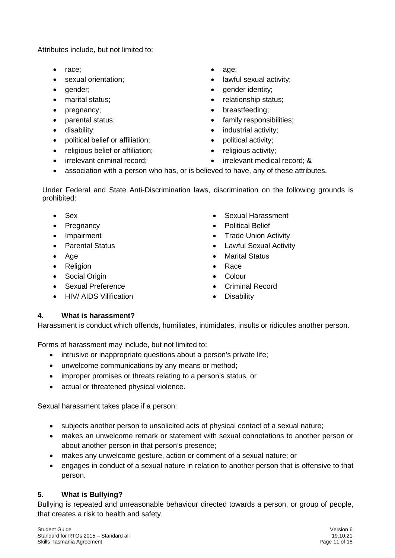Attributes include, but not limited to:

- race; age;
- 
- 
- 
- 
- 
- 
- political belief or affiliation;  $\bullet$  political activity;
- religious belief or affiliation;  $\bullet$  religious activity;
- 
- 
- sexual orientation;  $\bullet$  lawful sexual activity;
	- qender; ender identity;
	- marital status; relationship status;
	- pregnancy; example a strategies of the prediction of the prediction of the prediction of the breastfeeding;
- parental status;  $\bullet$  family responsibilities;
- disability; industrial activity;
	-
	-
- irrelevant criminal record; irrelevant medical record; &
- association with a person who has, or is believed to have, any of these attributes.

Under Federal and State Anti-Discrimination laws, discrimination on the following grounds is prohibited:

- 
- 
- 
- 
- 
- Religion Race
- Social Origin  **Colour**
- 
- HIV/ AIDS Vilification Disability
- Sex Sexual Harassment
- **Pregnancy Political Belief**
- Impairment Trade Union Activity
- Parental Status Lawful Sexual Activity
- Age  **Age Age Age Age Age Age Age Age Age Age Age Age Age Age Age Age**  $\bullet$  **Age**  $\bullet$  **Age**  $\bullet$  **Age**  $\bullet$  **Age**  $\bullet$  **Age**  $\bullet$  **Age**  $\bullet$  **Age**  $\bullet$  **Age**  $\bullet$  **Age**  $\bullet$  **Age**  $\bullet$  **Ag** 
	-
	-
	- Sexual Preference Criminal Record
		-

## **4. What is harassment?**

Harassment is conduct which offends, humiliates, intimidates, insults or ridicules another person.

Forms of harassment may include, but not limited to:

- intrusive or inappropriate questions about a person's private life:
- unwelcome communications by any means or method;
- improper promises or threats relating to a person's status, or
- actual or threatened physical violence.

Sexual harassment takes place if a person:

- subjects another person to unsolicited acts of physical contact of a sexual nature;
- makes an unwelcome remark or statement with sexual connotations to another person or about another person in that person's presence;
- makes any unwelcome gesture, action or comment of a sexual nature; or
- engages in conduct of a sexual nature in relation to another person that is offensive to that person.

## **5. What is Bullying?**

Bullying is repeated and unreasonable behaviour directed towards a person, or group of people, that creates a risk to health and safety.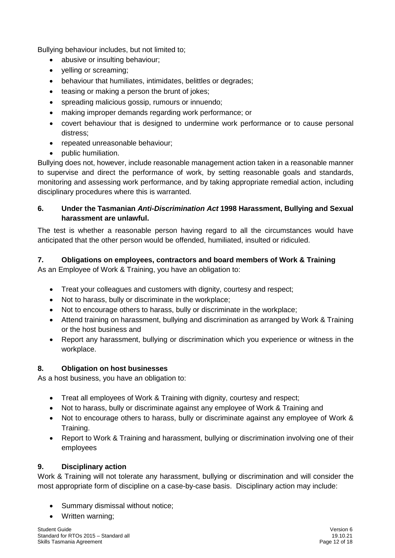Bullying behaviour includes, but not limited to;

- abusive or insulting behaviour;
- yelling or screaming;
- behaviour that humiliates, intimidates, belittles or degrades;
- teasing or making a person the brunt of jokes;
- spreading malicious gossip, rumours or innuendo;
- making improper demands regarding work performance; or
- covert behaviour that is designed to undermine work performance or to cause personal distress;
- repeated unreasonable behaviour;
- public humiliation.

Bullying does not, however, include reasonable management action taken in a reasonable manner to supervise and direct the performance of work, by setting reasonable goals and standards, monitoring and assessing work performance, and by taking appropriate remedial action, including disciplinary procedures where this is warranted.

## **6. Under the Tasmanian** *Anti-Discrimination Act* **1998 Harassment, Bullying and Sexual harassment are unlawful.**

The test is whether a reasonable person having regard to all the circumstances would have anticipated that the other person would be offended, humiliated, insulted or ridiculed.

## **7. Obligations on employees, contractors and board members of Work & Training**

As an Employee of Work & Training, you have an obligation to:

- Treat your colleagues and customers with dignity, courtesy and respect;
- Not to harass, bully or discriminate in the workplace;
- Not to encourage others to harass, bully or discriminate in the workplace;
- Attend training on harassment, bullying and discrimination as arranged by Work & Training or the host business and
- Report any harassment, bullying or discrimination which you experience or witness in the workplace.

## **8. Obligation on host businesses**

As a host business, you have an obligation to:

- Treat all employees of Work & Training with dignity, courtesy and respect;
- Not to harass, bully or discriminate against any employee of Work & Training and
- Not to encourage others to harass, bully or discriminate against any employee of Work & Training.
- Report to Work & Training and harassment, bullying or discrimination involving one of their employees

## **9. Disciplinary action**

Work & Training will not tolerate any harassment, bullying or discrimination and will consider the most appropriate form of discipline on a case-by-case basis. Disciplinary action may include:

- Summary dismissal without notice;
- Written warning;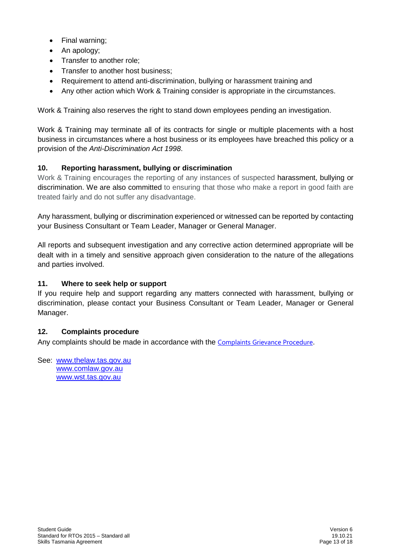- Final warning;
- An apology;
- Transfer to another role;
- Transfer to another host business;
- Requirement to attend anti-discrimination, bullying or harassment training and
- Any other action which Work & Training consider is appropriate in the circumstances.

Work & Training also reserves the right to stand down employees pending an investigation.

Work & Training may terminate all of its contracts for single or multiple placements with a host business in circumstances where a host business or its employees have breached this policy or a provision of the *Anti-Discrimination Act 1998*.

## **10. Reporting harassment, bullying or discrimination**

Work & Training encourages the reporting of any instances of suspected harassment, bullying or discrimination. We are also committed to ensuring that those who make a report in good faith are treated fairly and do not suffer any disadvantage.

Any harassment, bullying or discrimination experienced or witnessed can be reported by contacting your Business Consultant or Team Leader, Manager or General Manager.

All reports and subsequent investigation and any corrective action determined appropriate will be dealt with in a timely and sensitive approach given consideration to the nature of the allegations and parties involved.

## **11. Where to seek help or support**

If you require help and support regarding any matters connected with harassment, bullying or discrimination, please contact your Business Consultant or Team Leader, Manager or General Manager.

#### **12. Complaints procedure**

Any complaints should be made in accordance with the [Complaints Grievance Procedure](http://wt-dc-sp01/sites/Intranet/Documents/Policy%20Documents/Grievance,%20Complaints%20and%20Appeals%20Policy%20and%20Procedure.docx).

See: [www.thelaw.tas.gov.au](http://www.thelaw.tas.gov.au/) [www.comlaw.gov.au](http://www.comlaw.gov.au/) [www.wst.tas.gov.au](http://www.wst.tas.gov.au/)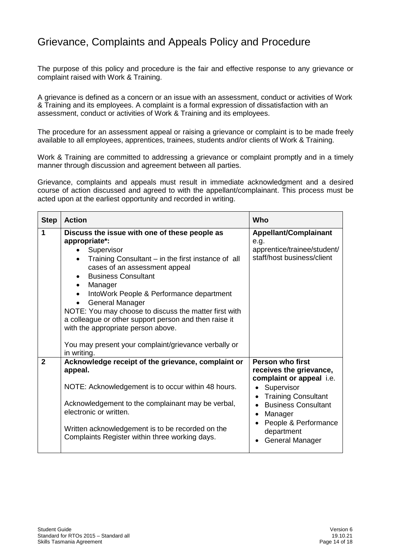# <span id="page-14-0"></span>Grievance, Complaints and Appeals Policy and Procedure

The purpose of this policy and procedure is the fair and effective response to any grievance or complaint raised with Work & Training.

A grievance is defined as a concern or an issue with an assessment, conduct or activities of Work & Training and its employees. A complaint is a formal expression of dissatisfaction with an assessment, conduct or activities of Work & Training and its employees.

The procedure for an assessment appeal or raising a grievance or complaint is to be made freely available to all employees, apprentices, trainees, students and/or clients of Work & Training.

Work & Training are committed to addressing a grievance or complaint promptly and in a timely manner through discussion and agreement between all parties.

Grievance, complaints and appeals must result in immediate acknowledgment and a desired course of action discussed and agreed to with the appellant/complainant. This process must be acted upon at the earliest opportunity and recorded in writing.

| <b>Step</b>    | <b>Action</b>                                         | Who                          |
|----------------|-------------------------------------------------------|------------------------------|
| 1              | Discuss the issue with one of these people as         | <b>Appellant/Complainant</b> |
|                | appropriate*:                                         | e.g.                         |
|                | Supervisor                                            | apprentice/trainee/student/  |
|                | Training Consultant – in the first instance of all    | staff/host business/client   |
|                | cases of an assessment appeal                         |                              |
|                | <b>Business Consultant</b>                            |                              |
|                | Manager<br>$\bullet$                                  |                              |
|                | IntoWork People & Performance department<br>$\bullet$ |                              |
|                | <b>General Manager</b><br>$\bullet$                   |                              |
|                | NOTE: You may choose to discuss the matter first with |                              |
|                | a colleague or other support person and then raise it |                              |
|                | with the appropriate person above.                    |                              |
|                | You may present your complaint/grievance verbally or  |                              |
|                | in writing.                                           |                              |
| $\overline{2}$ | Acknowledge receipt of the grievance, complaint or    | Person who first             |
|                | appeal.                                               | receives the grievance,      |
|                |                                                       | complaint or appeal i.e.     |
|                | NOTE: Acknowledgement is to occur within 48 hours.    | Supervisor                   |
|                |                                                       | <b>Training Consultant</b>   |
|                | Acknowledgement to the complainant may be verbal,     | <b>Business Consultant</b>   |
|                | electronic or written.                                | Manager                      |
|                | Written acknowledgement is to be recorded on the      | People & Performance         |
|                | Complaints Register within three working days.        | department                   |
|                |                                                       | General Manager              |
|                |                                                       |                              |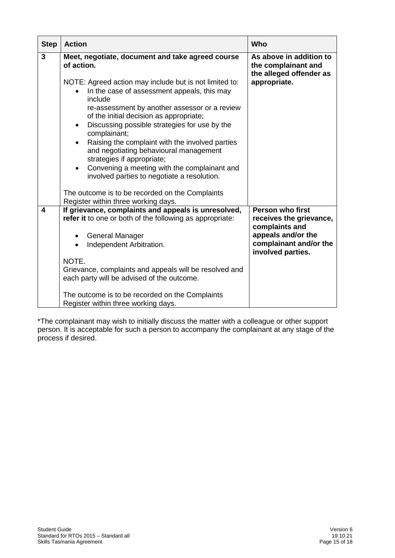| <b>Step</b> | <b>Action</b>                                                                                                                                                                                                                                                                                                                                                                                                                                                                                                                                                                                                                                                                                              | Who                                                                                                                                       |
|-------------|------------------------------------------------------------------------------------------------------------------------------------------------------------------------------------------------------------------------------------------------------------------------------------------------------------------------------------------------------------------------------------------------------------------------------------------------------------------------------------------------------------------------------------------------------------------------------------------------------------------------------------------------------------------------------------------------------------|-------------------------------------------------------------------------------------------------------------------------------------------|
| 3           | Meet, negotiate, document and take agreed course<br>of action.<br>NOTE: Agreed action may include but is not limited to:<br>In the case of assessment appeals, this may<br>include<br>re-assessment by another assessor or a review<br>of the initial decision as appropriate;<br>Discussing possible strategies for use by the<br>$\bullet$<br>complainant;<br>Raising the complaint with the involved parties<br>$\bullet$<br>and negotiating behavioural management<br>strategies if appropriate;<br>Convening a meeting with the complainant and<br>$\bullet$<br>involved parties to negotiate a resolution.<br>The outcome is to be recorded on the Complaints<br>Register within three working days. | As above in addition to<br>the complainant and<br>the alleged offender as<br>appropriate.                                                 |
| 4           | If grievance, complaints and appeals is unresolved,<br>refer it to one or both of the following as appropriate:<br><b>General Manager</b><br>$\bullet$<br>Independent Arbitration.<br>NOTE.<br>Grievance, complaints and appeals will be resolved and<br>each party will be advised of the outcome.<br>The outcome is to be recorded on the Complaints<br>Register within three working days.                                                                                                                                                                                                                                                                                                              | <b>Person who first</b><br>receives the grievance,<br>complaints and<br>appeals and/or the<br>complainant and/or the<br>involved parties. |

\*The complainant may wish to initially discuss the matter with a colleague or other support person. It is acceptable for such a person to accompany the complainant at any stage of the process if desired.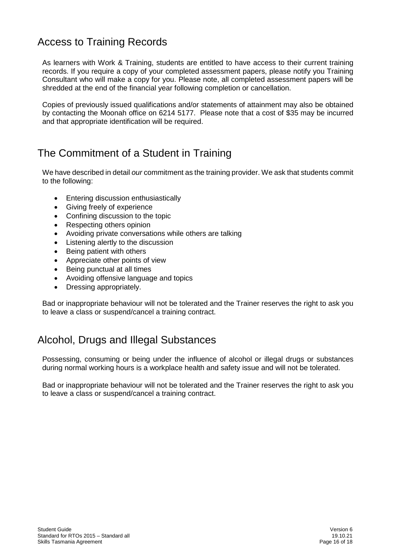# <span id="page-16-0"></span>Access to Training Records

As learners with Work & Training, students are entitled to have access to their current training records. If you require a copy of your completed assessment papers, please notify you Training Consultant who will make a copy for you. Please note, all completed assessment papers will be shredded at the end of the financial year following completion or cancellation.

Copies of previously issued qualifications and/or statements of attainment may also be obtained by contacting the Moonah office on 6214 5177. Please note that a cost of \$35 may be incurred and that appropriate identification will be required.

# <span id="page-16-1"></span>The Commitment of a Student in Training

We have described in detail *our* commitment as the training provider. We ask that students commit to the following:

- Entering discussion enthusiastically
- Giving freely of experience
- Confining discussion to the topic
- Respecting others opinion
- Avoiding private conversations while others are talking
- Listening alertly to the discussion
- Being patient with others
- Appreciate other points of view
- Being punctual at all times
- Avoiding offensive language and topics
- Dressing appropriately.

Bad or inappropriate behaviour will not be tolerated and the Trainer reserves the right to ask you to leave a class or suspend/cancel a training contract.

# <span id="page-16-2"></span>Alcohol, Drugs and Illegal Substances

Possessing, consuming or being under the influence of alcohol or illegal drugs or substances during normal working hours is a workplace health and safety issue and will not be tolerated.

Bad or inappropriate behaviour will not be tolerated and the Trainer reserves the right to ask you to leave a class or suspend/cancel a training contract.